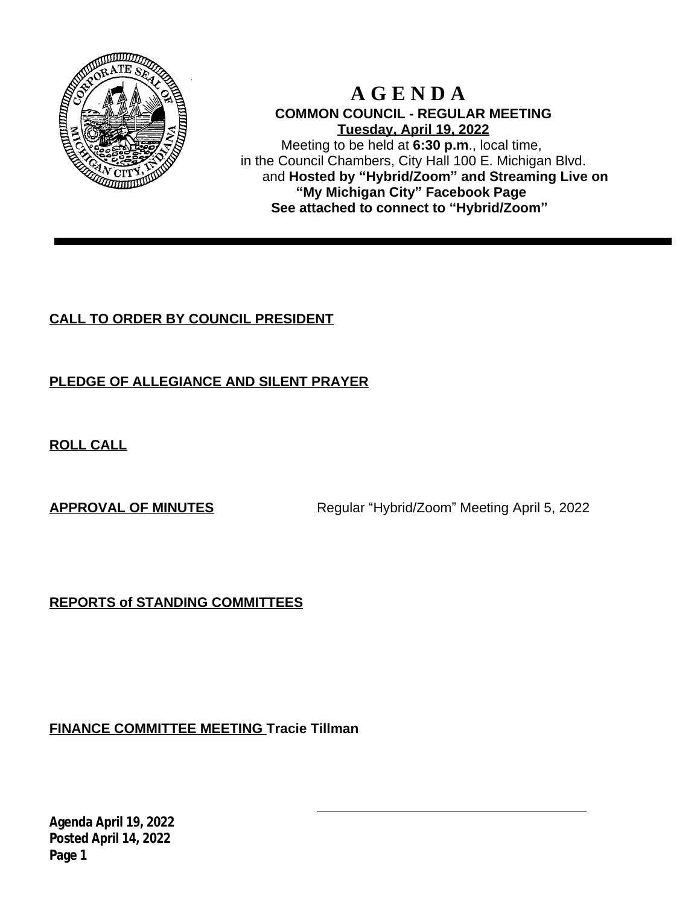

# **A G E N D A COMMON COUNCIL - REGULAR MEETING Tuesday, April 19, 2022**

Meeting to be held at **6:30 p.m**., local time, in the Council Chambers, City Hall 100 E. Michigan Blvd. and **Hosted by "Hybrid/Zoom" and Streaming Live on "My Michigan City" Facebook Page See attached to connect to "Hybrid/Zoom"**

# **CALL TO ORDER BY COUNCIL PRESIDENT**

# **PLEDGE OF ALLEGIANCE AND SILENT PRAYER**

**ROLL CALL**

**APPROVAL OF MINUTES** Regular "Hybrid/Zoom" Meeting April 5, 2022

**REPORTS of STANDING COMMITTEES**

**FINANCE COMMITTEE MEETING Tracie Tillman**

**Agenda April 19, 2022 Posted April 14, 2022 Page 1**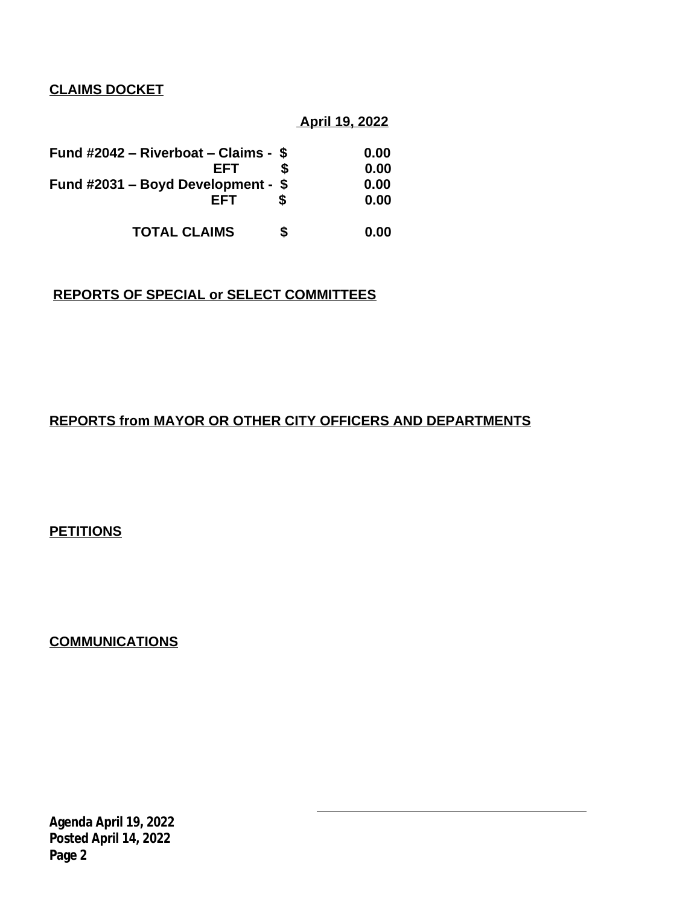### **CLAIMS DOCKET**

### **April 19, 2022**

| Fund #2042 – Riverboat – Claims - \$ |   | 0.00 |
|--------------------------------------|---|------|
| EFT                                  |   | 0.00 |
| Fund #2031 - Boyd Development - $$$  |   | 0.00 |
| EFT                                  |   | 0.00 |
| <b>TOTAL CLAIMS</b>                  | S | 0.00 |

## **REPORTS OF SPECIAL or SELECT COMMITTEES**

# **REPORTS from MAYOR OR OTHER CITY OFFICERS AND DEPARTMENTS**

**PETITIONS**

**COMMUNICATIONS**

**Agenda April 19, 2022 Posted April 14, 2022 Page 2**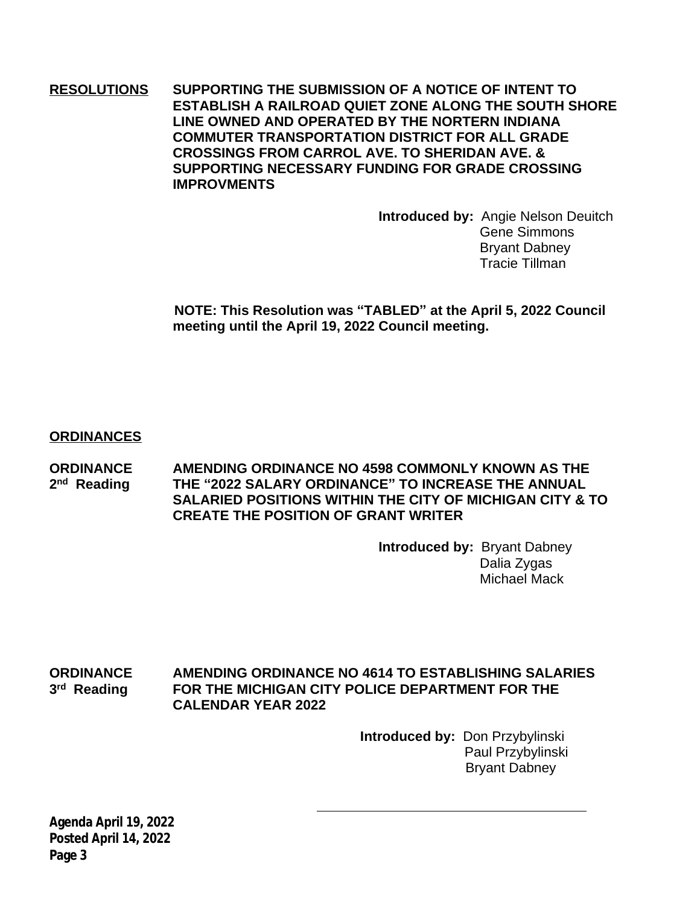**RESOLUTIONS SUPPORTING THE SUBMISSION OF A NOTICE OF INTENT TO ESTABLISH A RAILROAD QUIET ZONE ALONG THE SOUTH SHORE LINE OWNED AND OPERATED BY THE NORTERN INDIANA COMMUTER TRANSPORTATION DISTRICT FOR ALL GRADE CROSSINGS FROM CARROL AVE. TO SHERIDAN AVE. & SUPPORTING NECESSARY FUNDING FOR GRADE CROSSING IMPROVMENTS**

> **Introduced by:** Angie Nelson Deuitch Gene Simmons Bryant Dabney Tracie Tillman

 **NOTE: This Resolution was "TABLED" at the April 5, 2022 Council meeting until the April 19, 2022 Council meeting.**

### **ORDINANCES**

**ORDINANCE AMENDING ORDINANCE NO 4598 COMMONLY KNOWN AS THE** 2<sup>nd</sup> Reading **nd Reading THE "2022 SALARY ORDINANCE" TO INCREASE THE ANNUAL SALARIED POSITIONS WITHIN THE CITY OF MICHIGAN CITY & TO CREATE THE POSITION OF GRANT WRITER**

> **Introduced by:** Bryant Dabney Dalia Zygas Michael Mack

#### **ORDINANCE AMENDING ORDINANCE NO 4614 TO ESTABLISHING SALARIES** 3<sup>rd</sup> Reading **FOR THE MICHIGAN CITY POLICE DEPARTMENT FOR THE CALENDAR YEAR 2022**

 **Introduced by:** Don Przybylinski Paul Przybylinski Bryant Dabney

**Agenda April 19, 2022 Posted April 14, 2022 Page 3**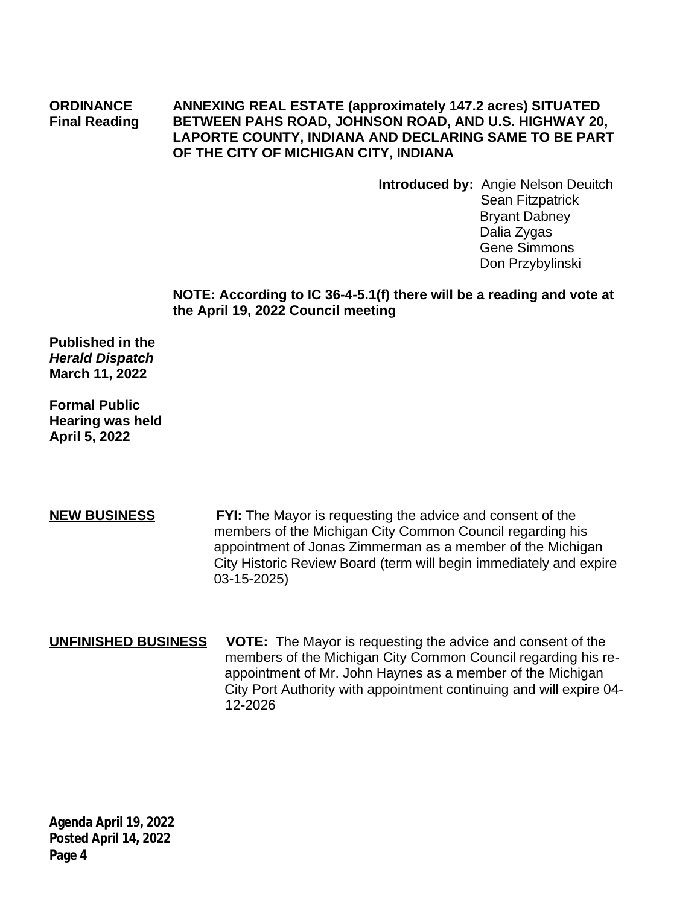### **ORDINANCE ANNEXING REAL ESTATE (approximately 147.2 acres) SITUATED Final Reading BETWEEN PAHS ROAD, JOHNSON ROAD, AND U.S. HIGHWAY 20, LAPORTE COUNTY, INDIANA AND DECLARING SAME TO BE PART OF THE CITY OF MICHIGAN CITY, INDIANA**

**Introduced by:** Angie Nelson Deuitch Sean Fitzpatrick Bryant Dabney Dalia Zygas Gene Simmons Don Przybylinski

### **NOTE: According to IC 36-4-5.1(f) there will be a reading and vote at the April 19, 2022 Council meeting**

**Published in the** *Herald Dispatch* **March 11, 2022**

**Formal Public Hearing was held April 5, 2022**

**NEW BUSINESS FYI:** The Mayor is requesting the advice and consent of the members of the Michigan City Common Council regarding his appointment of Jonas Zimmerman as a member of the Michigan City Historic Review Board (term will begin immediately and expire 03-15-2025)

**UNFINISHED BUSINESS VOTE:** The Mayor is requesting the advice and consent of the members of the Michigan City Common Council regarding his re appointment of Mr. John Haynes as a member of the Michigan City Port Authority with appointment continuing and will expire 04- 12-2026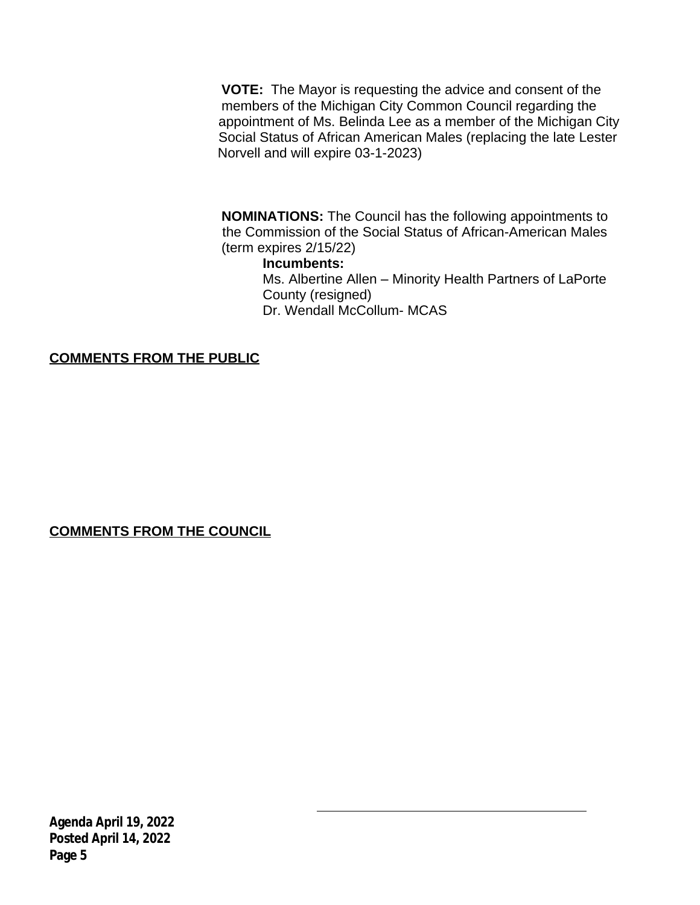**VOTE:** The Mayor is requesting the advice and consent of the members of the Michigan City Common Council regarding the appointment of Ms. Belinda Lee as a member of the Michigan City Social Status of African American Males (replacing the late Lester Norvell and will expire 03-1-2023)

 **NOMINATIONS:** The Council has the following appointments to the Commission of the Social Status of African-American Males (term expires 2/15/22)

#### **Incumbents:**

 Ms. Albertine Allen – Minority Health Partners of LaPorte County (resigned) Dr. Wendall McCollum- MCAS

**COMMENTS FROM THE PUBLIC**

**COMMENTS FROM THE COUNCIL**